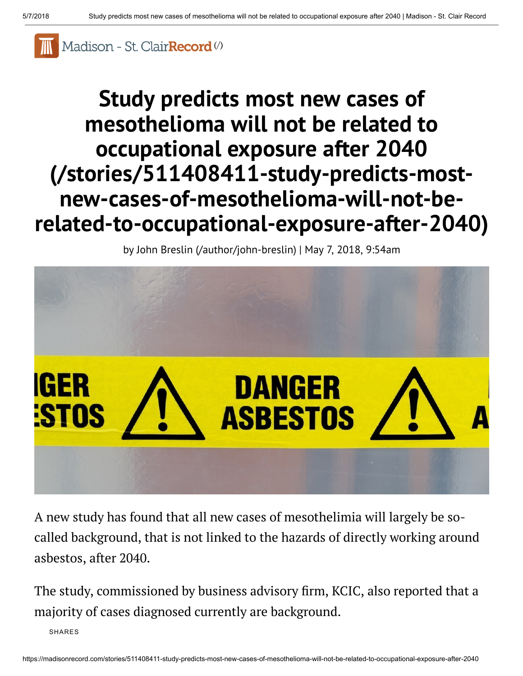

# Study predicts most new cases of mesothelioma will not be related to occupational exposure after 2040 (/stories/511408411-study-predicts-mostnew-cases-of-mesothelioma-will-not-be[related-to-occupational-exposure-after-2040\)](https://madisonrecord.com/stories/511408411-study-predicts-most-new-cases-of-mesothelioma-will-not-be-related-to-occupational-exposure-after-2040)

by John Breslin [\(/author/john-breslin\)](https://madisonrecord.com/author/john-breslin) | May 7, 2018, 9:54am



A new study has found that all new cases of mesothelimia will largely be socalled background, that is not linked to the hazards of directly working around asbestos, after 2040.

The study, commissioned by business advisory firm, KCIC, also reported that a majority of cases diagnosed currently are background.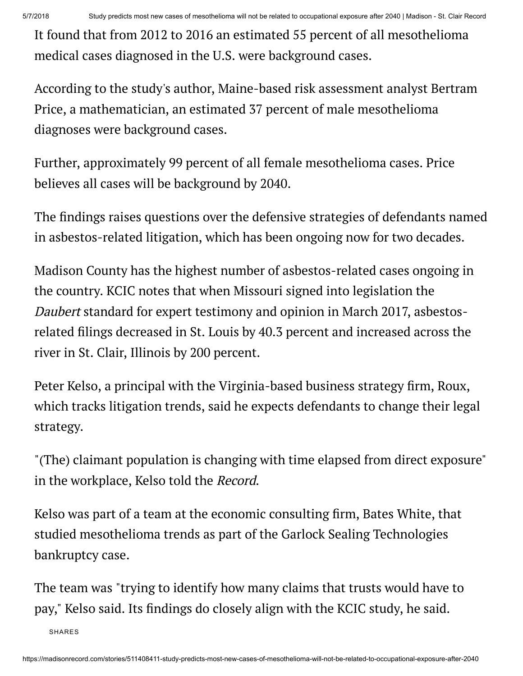It found that from 2012 to 2016 an estimated 55 percent of all mesothelioma medical cases diagnosed in the U.S. were background cases.

According to the study's author, Maine-based risk assessment analyst Bertram Price, a mathematician, an estimated 37 percent of male mesothelioma diagnoses were background cases.

Further, approximately 99 percent of all female mesothelioma cases. Price believes all cases will be background by 2040.

The findings raises questions over the defensive strategies of defendants named in asbestos-related litigation, which has been ongoing now for two decades.

Madison County has the highest number of asbestos-related cases ongoing in the country. KCIC notes that when Missouri signed into legislation the Daubert standard for expert testimony and opinion in March 2017, asbestosrelated filings decreased in St. Louis by 40.3 percent and increased across the river in St. Clair, Illinois by 200 percent.

Peter Kelso, a principal with the Virginia-based business strategy firm, Roux, which tracks litigation trends, said he expects defendants to change their legal strategy.

"(The) claimant population is changing with time elapsed from direct exposure" in the workplace, Kelso told the Record.

Kelso was part of a team at the economic consulting firm, Bates White, that studied mesothelioma trends as part of the Garlock Sealing Technologies bankruptcy case.

The team was "trying to identify how many claims that trusts would have to pay," Kelso said. Its findings do closely align with the KCIC study, he said.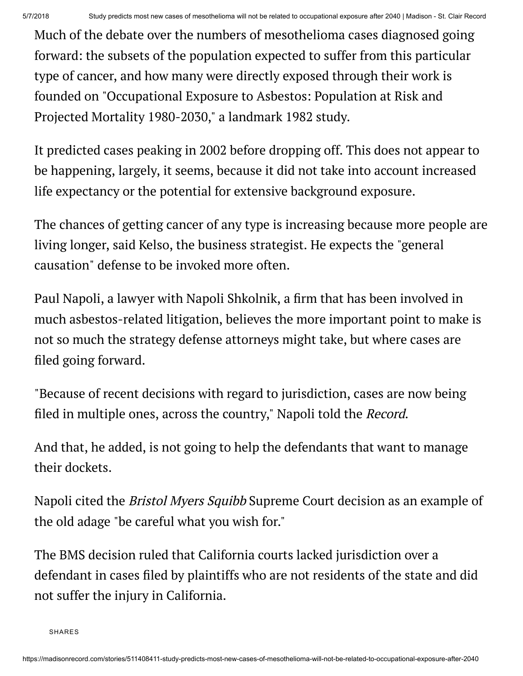Much of the debate over the numbers of mesothelioma cases diagnosed going forward: the subsets of the population expected to suffer from this particular type of cancer, and how many were directly exposed through their work is founded on "Occupational Exposure to Asbestos: Population at Risk and Projected Mortality 1980-2030," a landmark 1982 study.

It predicted cases peaking in 2002 before dropping off. This does not appear to be happening, largely, it seems, because it did not take into account increased life expectancy or the potential for extensive background exposure.

The chances of getting cancer of any type is increasing because more people are living longer, said Kelso, the business strategist. He expects the "general causation" defense to be invoked more often.

Paul Napoli, a lawyer with Napoli Shkolnik, a firm that has been involved in much asbestos-related litigation, believes the more important point to make is not so much the strategy defense attorneys might take, but where cases are filed going forward.

"Because of recent decisions with regard to jurisdiction, cases are now being filed in multiple ones, across the country," Napoli told the *Record*.

And that, he added, is not going to help the defendants that want to manage their dockets.

Napoli cited the Bristol Myers Squibb Supreme Court decision as an example of the old adage "be careful what you wish for."

The BMS decision ruled that California courts lacked jurisdiction over a defendant in cases filed by plaintiffs who are not residents of the state and did not suffer the injury in California.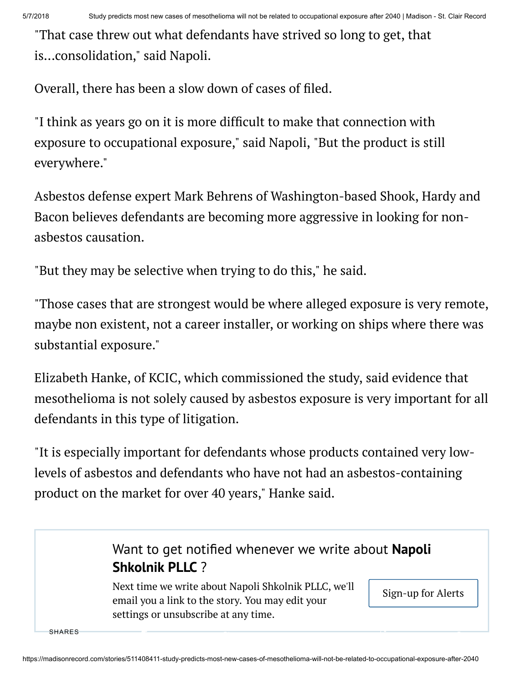"That case threw out what defendants have strived so long to get, that is...consolidation," said Napoli.

Overall, there has been a slow down of cases of filed.

"I think as years go on it is more difficult to make that connection with exposure to occupational exposure," said Napoli, "But the product is still everywhere."

Asbestos defense expert Mark Behrens of Washington-based Shook, Hardy and Bacon believes defendants are becoming more aggressive in looking for nonasbestos causation.

"But they may be selective when trying to do this," he said.

"Those cases that are strongest would be where alleged exposure is very remote, maybe non existent, not a career installer, or working on ships where there was substantial exposure."

Elizabeth Hanke, of KCIC, which commissioned the study, said evidence that mesothelioma is not solely caused by asbestos exposure is very important for all defendants in this type of litigation.

"It is especially important for defendants whose products contained very lowlevels of asbestos and defendants who have not had an asbestos-containing product on the market for over 40 years," Hanke said.

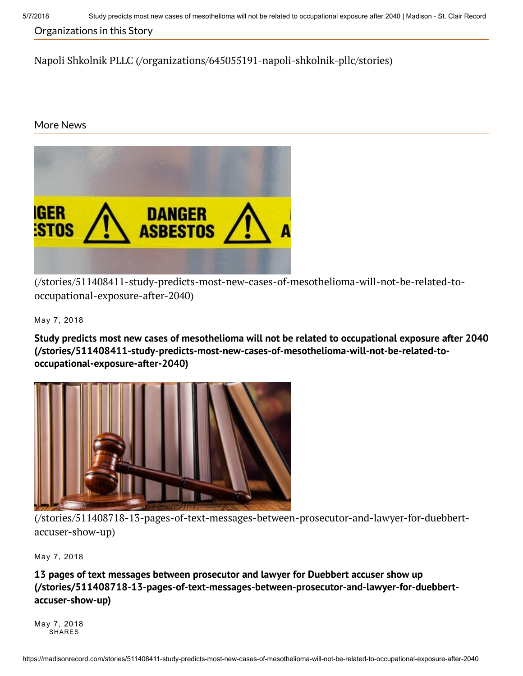### Organizations in this Story

Napoli Shkolnik PLLC [\(/organizations/645055191-napoli-shkolnik-pllc/stories\)](https://madisonrecord.com/organizations/645055191-napoli-shkolnik-pllc/stories)

### More News



[\(/stories/511408411-study-predicts-most-new-cases-of-mesothelioma-will-not-be-related-to](https://madisonrecord.com/stories/511408411-study-predicts-most-new-cases-of-mesothelioma-will-not-be-related-to-occupational-exposure-after-2040)occupational-exposure-after-2040)

May 7, 2018

Study predicts most new cases of mesothelioma will not be related to occupational exposure after 2040 [\(/stories/511408411-study-predicts-most-new-cases-of-mesothelioma-will-not-be-related-to](https://madisonrecord.com/stories/511408411-study-predicts-most-new-cases-of-mesothelioma-will-not-be-related-to-occupational-exposure-after-2040)occupational-exposure-after-2040)



[\(/stories/511408718-13-pages-of-text-messages-between-prosecutor-and-lawyer-for-duebbert](https://madisonrecord.com/stories/511408718-13-pages-of-text-messages-between-prosecutor-and-lawyer-for-duebbert-accuser-show-up)accuser-show-up)

May 7, 2018

13 pages of text messages between prosecutor and lawyer for Duebbert accuser show up [\(/stories/511408718-13-pages-of-text-messages-between-prosecutor-and-lawyer-for-duebbert](https://madisonrecord.com/stories/511408718-13-pages-of-text-messages-between-prosecutor-and-lawyer-for-duebbert-accuser-show-up)accuser-show-up)

May 7, 2018 SHARES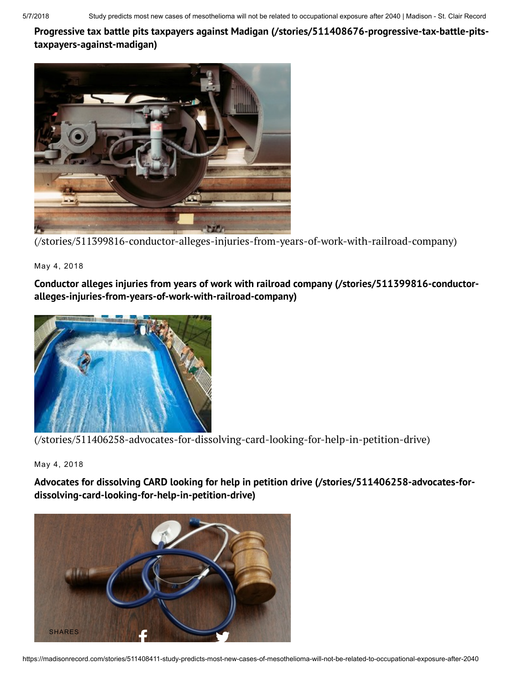Progressive tax battle pits taxpayers against Madigan [\(/stories/511408676-progressive-tax-battle-pits](https://madisonrecord.com/stories/511408676-progressive-tax-battle-pits-taxpayers-against-madigan)taxpayers-against-madigan)



[\(/stories/511399816-conductor-alleges-injuries-from-years-of-work-with-railroad-company\)](https://madisonrecord.com/stories/511399816-conductor-alleges-injuries-from-years-of-work-with-railroad-company)

May 4, 2018

Conductor alleges injuries from years of work with railroad company (/stories/511399816-conductor[alleges-injuries-from-years-of-work-with-railroad-company\)](https://madisonrecord.com/stories/511399816-conductor-alleges-injuries-from-years-of-work-with-railroad-company)



[\(/stories/511406258-advocates-for-dissolving-card-looking-for-help-in-petition-drive\)](https://madisonrecord.com/stories/511406258-advocates-for-dissolving-card-looking-for-help-in-petition-drive)

May 4, 2018

Advocates for dissolving CARD looking for help in petition drive (/stories/511406258-advocates-for[dissolving-card-looking-for-help-in-petition-drive\)](https://madisonrecord.com/stories/511406258-advocates-for-dissolving-card-looking-for-help-in-petition-drive)

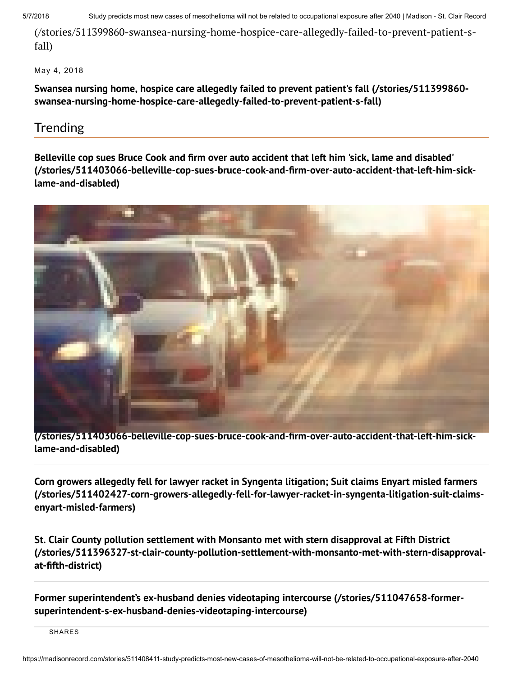5/7/2018 Study predicts most new cases of mesothelioma will not be related to occupational exposure after 2040 | Madison - St. Clair Record

[\(/stories/511399860-swansea-nursing-home-hospice-care-allegedly-failed-to-prevent-patient-s](https://madisonrecord.com/stories/511399860-swansea-nursing-home-hospice-care-allegedly-failed-to-prevent-patient-s-fall)fall)

May 4, 2018

Swansea nursing home, hospice care allegedly failed to prevent patient's fall (/stories/511399860 [swansea-nursing-home-hospice-care-allegedly-failed-to-prevent-patient-s-fall\)](https://madisonrecord.com/stories/511399860-swansea-nursing-home-hospice-care-allegedly-failed-to-prevent-patient-s-fall)

## Trending

Belleville cop sues Bruce Cook and firm over auto accident that left him 'sick, lame and disabled' [\(/stories/511403066-belleville-cop-sues-bruce-cook-and-årm-over-auto-accident-that-left-him-sick](https://madisonrecord.com/stories/511403066-belleville-cop-sues-bruce-cook-and-firm-over-auto-accident-that-left-him-sick-lame-and-disabled)lame-and-disabled)



[\(/stories/511403066-belleville-cop-sues-bruce-cook-and-årm-over-auto-accident-that-left-him-sick](https://madisonrecord.com/stories/511403066-belleville-cop-sues-bruce-cook-and-firm-over-auto-accident-that-left-him-sick-lame-and-disabled)lame-and-disabled)

Corn growers allegedly fell for lawyer racket in Syngenta litigation; Suit claims Enyart misled farmers [\(/stories/511402427-corn-growers-allegedly-fell-for-lawyer-racket-in-syngenta-litigation-suit-claims](https://madisonrecord.com/stories/511402427-corn-growers-allegedly-fell-for-lawyer-racket-in-syngenta-litigation-suit-claims-enyart-misled-farmers)enyart-misled-farmers)

St. Clair County pollution settlement with Monsanto met with stern disapproval at Fifth District [\(/stories/511396327-st-clair-county-pollution-settlement-with-monsanto-met-with-stern-disapproval](https://madisonrecord.com/stories/511396327-st-clair-county-pollution-settlement-with-monsanto-met-with-stern-disapproval-at-fifth-district)at-åfth-district)

Former superintendent's ex-husband denies videotaping intercourse (/stories/511047658-former[superintendent-s-ex-husband-denies-videotaping-intercourse\)](https://madisonrecord.com/stories/511047658-former-superintendent-s-ex-husband-denies-videotaping-intercourse)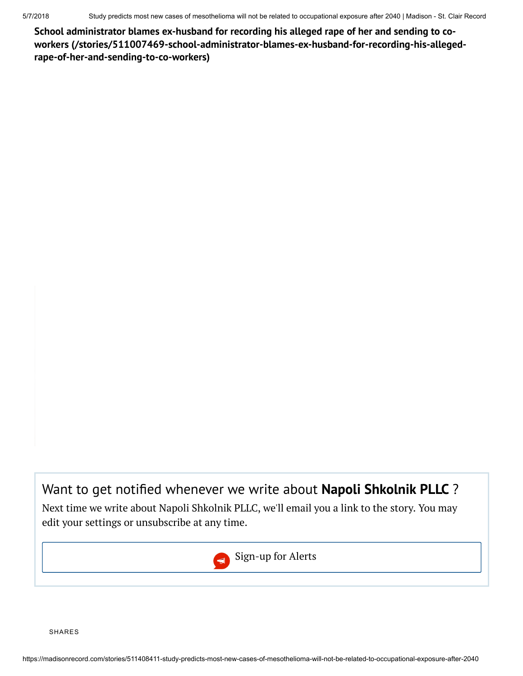School administrator blames ex-husband for recording his alleged rape of her and sending to coworkers [\(/stories/511007469-school-administrator-blames-ex-husband-for-recording-his-alleged](https://madisonrecord.com/stories/511007469-school-administrator-blames-ex-husband-for-recording-his-alleged-rape-of-her-and-sending-to-co-workers)rape-of-her-and-sending-to-co-workers)

## Want to get notified whenever we write about Napoli Shkolnik PLLC ?

Next time we write about Napoli Shkolnik PLLC, we'll email you a link to the story. You may edit your settings or unsubscribe at any time.